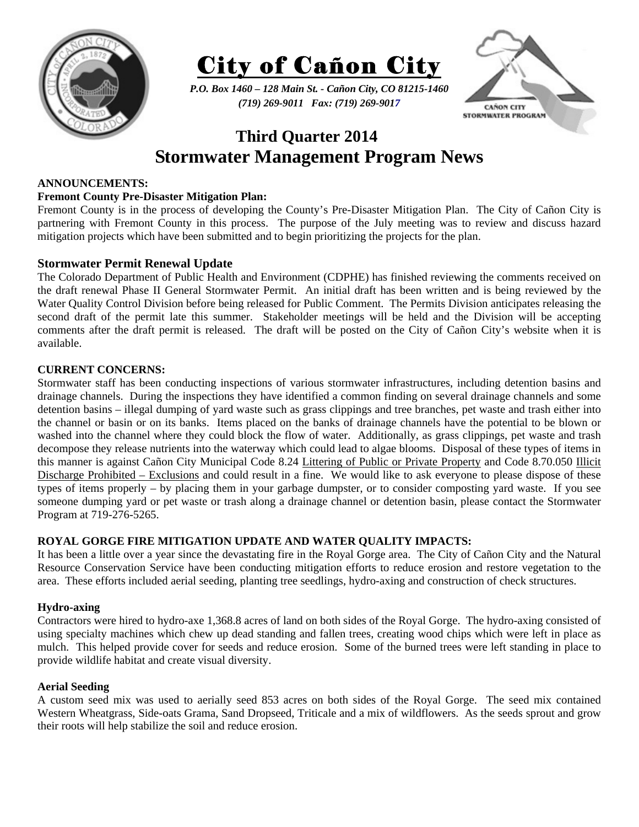



*P.O. Box 1460 – 128 Main St. - Cañon City, CO 81215-1460 (719) 269-9011 Fax: (719) 269-9017* 



# **Third Quarter 2014 Stormwater Management Program News**

## **ANNOUNCEMENTS:**

# **Fremont County Pre-Disaster Mitigation Plan:**

Fremont County is in the process of developing the County's Pre-Disaster Mitigation Plan. The City of Cañon City is partnering with Fremont County in this process. The purpose of the July meeting was to review and discuss hazard mitigation projects which have been submitted and to begin prioritizing the projects for the plan.

# **Stormwater Permit Renewal Update**

The Colorado Department of Public Health and Environment (CDPHE) has finished reviewing the comments received on the draft renewal Phase II General Stormwater Permit. An initial draft has been written and is being reviewed by the Water Quality Control Division before being released for Public Comment. The Permits Division anticipates releasing the second draft of the permit late this summer. Stakeholder meetings will be held and the Division will be accepting comments after the draft permit is released. The draft will be posted on the City of Cañon City's website when it is available.

## **CURRENT CONCERNS:**

Stormwater staff has been conducting inspections of various stormwater infrastructures, including detention basins and drainage channels. During the inspections they have identified a common finding on several drainage channels and some detention basins – illegal dumping of yard waste such as grass clippings and tree branches, pet waste and trash either into the channel or basin or on its banks. Items placed on the banks of drainage channels have the potential to be blown or washed into the channel where they could block the flow of water. Additionally, as grass clippings, pet waste and trash decompose they release nutrients into the waterway which could lead to algae blooms. Disposal of these types of items in this manner is against Cañon City Municipal Code 8.24 Littering of Public or Private Property and Code 8.70.050 Illicit Discharge Prohibited – Exclusions and could result in a fine. We would like to ask everyone to please dispose of these types of items properly – by placing them in your garbage dumpster, or to consider composting yard waste. If you see someone dumping yard or pet waste or trash along a drainage channel or detention basin, please contact the Stormwater Program at 719-276-5265.

### **ROYAL GORGE FIRE MITIGATION UPDATE AND WATER QUALITY IMPACTS:**

It has been a little over a year since the devastating fire in the Royal Gorge area. The City of Cañon City and the Natural Resource Conservation Service have been conducting mitigation efforts to reduce erosion and restore vegetation to the area. These efforts included aerial seeding, planting tree seedlings, hydro-axing and construction of check structures.

### **Hydro-axing**

Contractors were hired to hydro-axe 1,368.8 acres of land on both sides of the Royal Gorge. The hydro-axing consisted of using specialty machines which chew up dead standing and fallen trees, creating wood chips which were left in place as mulch. This helped provide cover for seeds and reduce erosion. Some of the burned trees were left standing in place to provide wildlife habitat and create visual diversity.

### **Aerial Seeding**

A custom seed mix was used to aerially seed 853 acres on both sides of the Royal Gorge. The seed mix contained Western Wheatgrass, Side-oats Grama, Sand Dropseed, Triticale and a mix of wildflowers. As the seeds sprout and grow their roots will help stabilize the soil and reduce erosion.